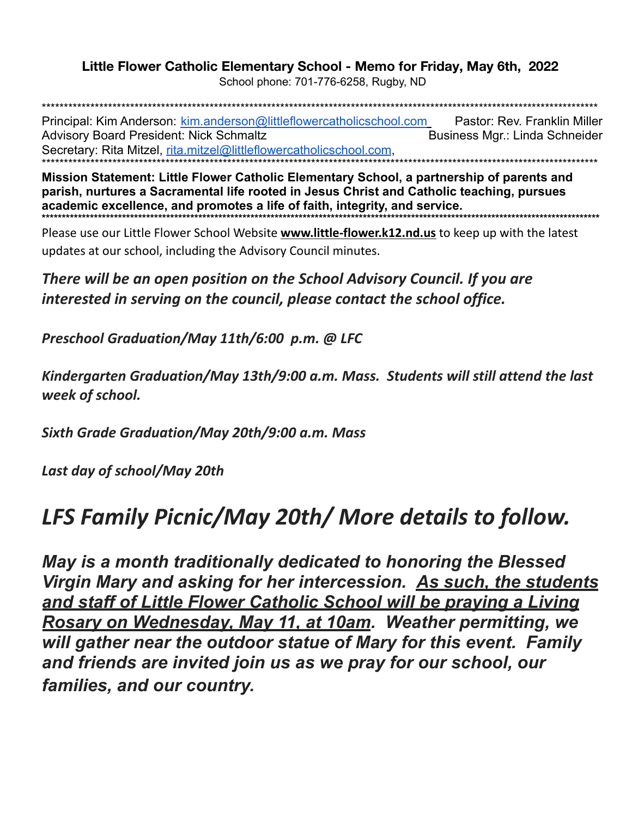## Little Flower Catholic Elementary School - Memo for Friday, May 6th, 2022

School phone: 701-776-6258, Rugby, ND

Principal: Kim Anderson: kim.anderson@littleflowercatholicschool.com Pastor: Rev. Franklin Miller **Advisory Board President: Nick Schmaltz** Business Mgr.: Linda Schneider Secretary: Rita Mitzel, rita.mitzel@littleflowercatholicschool.com,

Mission Statement: Little Flower Catholic Elementary School, a partnership of parents and parish, nurtures a Sacramental life rooted in Jesus Christ and Catholic teaching, pursues academic excellence, and promotes a life of faith, integrity, and service. 

Please use our Little Flower School Website **www.little-flower.k12.nd.us** to keep up with the latest updates at our school, including the Advisory Council minutes.

There will be an open position on the School Advisory Council. If you are interested in serving on the council, please contact the school office.

Preschool Graduation/May 11th/6:00 p.m. @ LFC

Kindergarten Graduation/May 13th/9:00 a.m. Mass. Students will still attend the last week of school.

Sixth Grade Graduation/May 20th/9:00 a.m. Mass

Last day of school/May 20th

## LFS Family Picnic/May 20th/ More details to follow.

May is a month traditionally dedicated to honoring the Blessed Virgin Mary and asking for her intercession. As such, the students and staff of Little Flower Catholic School will be praying a Living Rosary on Wednesday, May 11, at 10am. Weather permitting, we will gather near the outdoor statue of Mary for this event. Family and friends are invited join us as we pray for our school, our families, and our country.